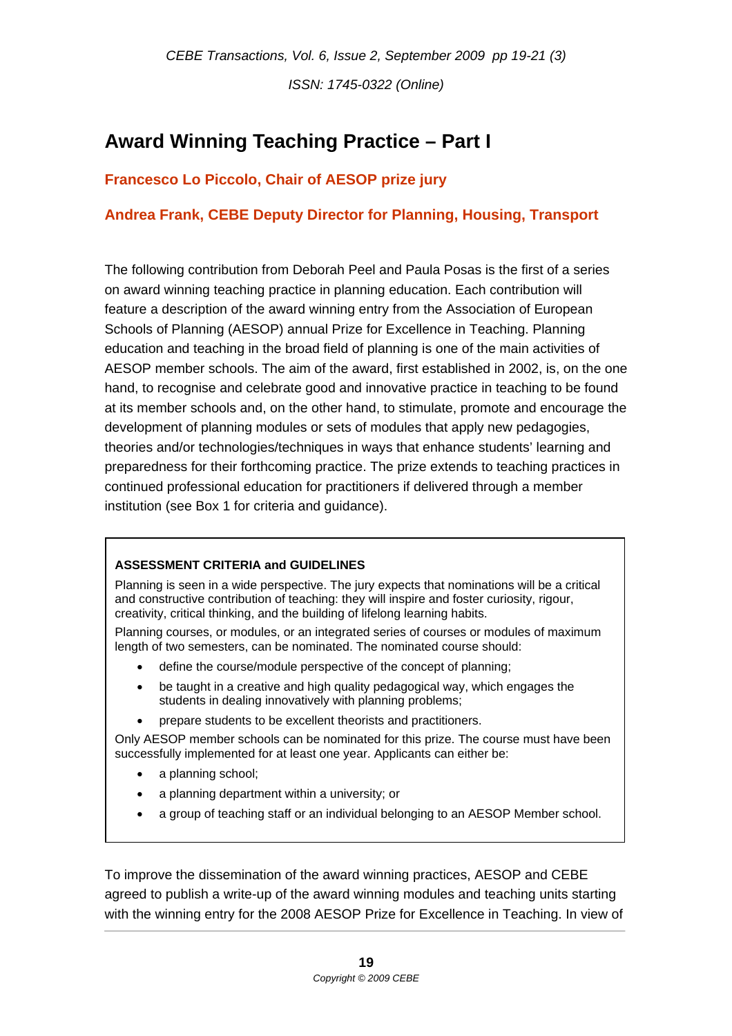*ISSN: 1745-0322 (Online)* 

## **Award Winning Teaching Practice – Part I**

## **Francesco Lo Piccolo, Chair of AESOP prize jury**

## **Andrea Frank, CEBE Deputy Director for Planning, Housing, Transport**

The following contribution from Deborah Peel and Paula Posas is the first of a series on award winning teaching practice in planning education. Each contribution will feature a description of the award winning entry from the Association of European Schools of Planning (AESOP) annual Prize for Excellence in Teaching. Planning education and teaching in the broad field of planning is one of the main activities of AESOP member schools. The aim of the award, first established in 2002, is, on the one hand, to recognise and celebrate good and innovative practice in teaching to be found at its member schools and, on the other hand, to stimulate, promote and encourage the development of planning modules or sets of modules that apply new pedagogies, theories and/or technologies/techniques in ways that enhance students' learning and preparedness for their forthcoming practice. The prize extends to teaching practices in continued professional education for practitioners if delivered through a member institution (see Box 1 for criteria and guidance).

## **ASSESSMENT CRITERIA and GUIDELINES**

Planning is seen in a wide perspective. The jury expects that nominations will be a critical and constructive contribution of teaching: they will inspire and foster curiosity, rigour, creativity, critical thinking, and the building of lifelong learning habits.

Planning courses, or modules, or an integrated series of courses or modules of maximum length of two semesters, can be nominated. The nominated course should:

- define the course/module perspective of the concept of planning;
- be taught in a creative and high quality pedagogical way, which engages the students in dealing innovatively with planning problems;
- prepare students to be excellent theorists and practitioners.

Only AESOP member schools can be nominated for this prize. The course must have been successfully implemented for at least one year. Applicants can either be:

- a planning school;
- a planning department within a university; or
- a group of teaching staff or an individual belonging to an AESOP Member school.

To improve the dissemination of the award winning practices, AESOP and CEBE agreed to publish a write-up of the award winning modules and teaching units starting with the winning entry for the 2008 AESOP Prize for Excellence in Teaching. In view of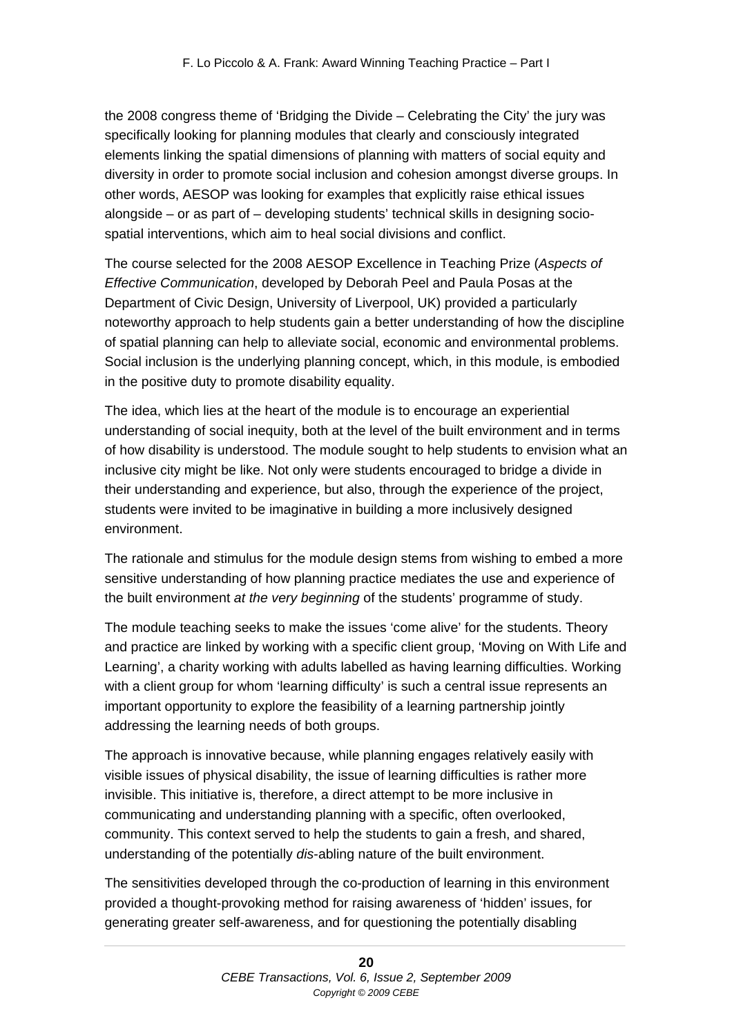the 2008 congress theme of 'Bridging the Divide – Celebrating the City' the jury was specifically looking for planning modules that clearly and consciously integrated elements linking the spatial dimensions of planning with matters of social equity and diversity in order to promote social inclusion and cohesion amongst diverse groups. In other words, AESOP was looking for examples that explicitly raise ethical issues alongside – or as part of – developing students' technical skills in designing sociospatial interventions, which aim to heal social divisions and conflict.

The course selected for the 2008 AESOP Excellence in Teaching Prize (*Aspects of Effective Communication*, developed by Deborah Peel and Paula Posas at the Department of Civic Design, University of Liverpool, UK) provided a particularly noteworthy approach to help students gain a better understanding of how the discipline of spatial planning can help to alleviate social, economic and environmental problems. Social inclusion is the underlying planning concept, which, in this module, is embodied in the positive duty to promote disability equality.

The idea, which lies at the heart of the module is to encourage an experiential understanding of social inequity, both at the level of the built environment and in terms of how disability is understood. The module sought to help students to envision what an inclusive city might be like. Not only were students encouraged to bridge a divide in their understanding and experience, but also, through the experience of the project, students were invited to be imaginative in building a more inclusively designed environment.

The rationale and stimulus for the module design stems from wishing to embed a more sensitive understanding of how planning practice mediates the use and experience of the built environment *at the very beginning* of the students' programme of study.

The module teaching seeks to make the issues 'come alive' for the students. Theory and practice are linked by working with a specific client group, 'Moving on With Life and Learning', a charity working with adults labelled as having learning difficulties. Working with a client group for whom 'learning difficulty' is such a central issue represents an important opportunity to explore the feasibility of a learning partnership jointly addressing the learning needs of both groups.

The approach is innovative because, while planning engages relatively easily with visible issues of physical disability, the issue of learning difficulties is rather more invisible. This initiative is, therefore, a direct attempt to be more inclusive in communicating and understanding planning with a specific, often overlooked, community. This context served to help the students to gain a fresh, and shared, understanding of the potentially *dis*-abling nature of the built environment.

The sensitivities developed through the co-production of learning in this environment provided a thought-provoking method for raising awareness of 'hidden' issues, for generating greater self-awareness, and for questioning the potentially disabling